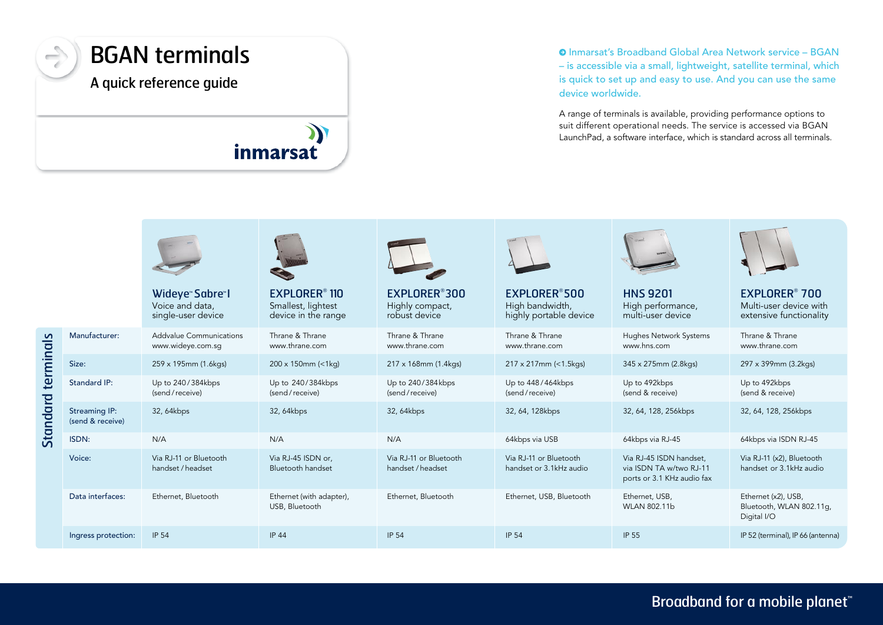

Standard terminals

Standard terminals

## Inmarsat's Broadband Global Area Network service – BGAN – is accessible via a small, lightweight, satellite terminal, which is quick to set up and easy to use. And you can use the same device worldwide.

A range of terminals is available, providing performance options to suit different operational needs. The service is accessed via BGAN LaunchPad, a software interface, which is standard across all terminals.

|                                   | Wideye <sup>®</sup> Sabre <sup>®</sup> I<br>Voice and data,<br>single-user device | <b>EXPLORER<sup>®</sup> 110</b><br>Smallest, lightest<br>device in the range | EXPLORER <sup>®</sup> 300<br>Highly compact,<br>robust device | EXPLORER®500<br>High bandwidth,<br>highly portable device | <b>HNS 9201</b><br>High performance,<br>multi-user device                        | <b>EXPLORER<sup>®</sup> 700</b><br>Multi-user device with<br>extensive functionality |
|-----------------------------------|-----------------------------------------------------------------------------------|------------------------------------------------------------------------------|---------------------------------------------------------------|-----------------------------------------------------------|----------------------------------------------------------------------------------|--------------------------------------------------------------------------------------|
| Manufacturer:                     | Addvalue Communications<br>www.wideye.com.sq                                      | Thrane & Thrane<br>www.thrane.com                                            | Thrane & Thrane<br>www.thrane.com                             | Thrane & Thrane<br>www.thrane.com                         | <b>Hughes Network Systems</b><br>www.hns.com                                     | Thrane & Thrane<br>www.thrane.com                                                    |
| Size:                             | 259 x 195mm (1.6kgs)                                                              | $200 \times 150$ mm (<1kg)                                                   | 217 x 168mm (1.4kgs)                                          | 217 x 217mm (<1.5kgs)                                     | 345 x 275mm (2.8kgs)                                                             | 297 x 399mm (3.2kgs)                                                                 |
| <b>Standard IP:</b>               | Up to 240/384kbps<br>(send/receive)                                               | Up to 240/384kbps<br>(send/receive)                                          | Up to 240/384kbps<br>(send/receive)                           | Up to 448/464kbps<br>(send/receive)                       | Up to 492kbps<br>(send & receive)                                                | Up to 492kbps<br>(send & receive)                                                    |
| Streaming IP:<br>(send & receive) | 32, 64kbps                                                                        | 32, 64kbps                                                                   | 32, 64kbps                                                    | 32, 64, 128kbps                                           | 32, 64, 128, 256kbps                                                             | 32, 64, 128, 256kbps                                                                 |
| ISDN:                             | N/A                                                                               | N/A                                                                          | N/A                                                           | 64kbps via USB                                            | 64kbps via RJ-45                                                                 | 64kbps via ISDN RJ-45                                                                |
| Voice:                            | Via RJ-11 or Bluetooth<br>handset / headset                                       | Via RJ-45 ISDN or,<br><b>Bluetooth handset</b>                               | Via RJ-11 or Bluetooth<br>handset / headset                   | Via RJ-11 or Bluetooth<br>handset or 3.1kHz audio         | Via RJ-45 ISDN handset.<br>via ISDN TA w/two RJ-11<br>ports or 3.1 KHz audio fax | Via RJ-11 (x2), Bluetooth<br>handset or 3.1kHz audio                                 |
| Data interfaces:                  | Ethernet, Bluetooth                                                               | Ethernet (with adapter),<br>USB, Bluetooth                                   | Ethernet, Bluetooth                                           | Ethernet, USB, Bluetooth                                  | Ethernet, USB,<br>WLAN 802.11b                                                   | Ethernet (x2), USB,<br>Bluetooth, WLAN 802.11q,<br>Digital I/O                       |
| Ingress protection:               | <b>IP 54</b>                                                                      | <b>IP 44</b>                                                                 | <b>IP 54</b>                                                  | <b>IP 54</b>                                              | <b>IP 55</b>                                                                     | IP 52 (terminal), IP 66 (antenna)                                                    |

Broadband for a mobile planet<sup>™</sup>